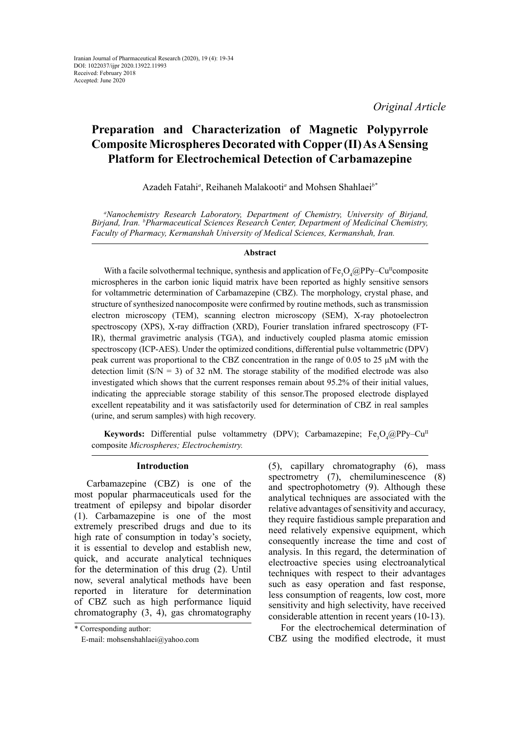# **Preparation and Characterization of Magnetic Polypyrrole Composite Microspheres Decorated with Copper (II) As A Sensing Platform for Electrochemical Detection of Carbamazepine**

Azadeh Fatahi*<sup>a</sup>* , Reihaneh Malakooti*<sup>a</sup>* and Mohsen Shahlaei*b\**

*a Nanochemistry Research Laboratory, Department of Chemistry, University of Birjand, Birjand, Iran. b Pharmaceutical Sciences Research Center, Department of Medicinal Chemistry, Faculty of Pharmacy, Kermanshah University of Medical Sciences, Kermanshah, Iran.*

### **Abstract**

With a facile solvothermal technique, synthesis and application of  $Fe_{3}O_{4}$  @PPy–Cu<sup>II</sup>composite microspheres in the carbon ionic liquid matrix have been reported as highly sensitive sensors for voltammetric determination of Carbamazepine (CBZ). The morphology, crystal phase, and structure of synthesized nanocomposite were confirmed by routine methods, such as transmission electron microscopy (TEM), scanning electron microscopy (SEM), X-ray photoelectron spectroscopy (XPS), X-ray diffraction (XRD), Fourier translation infrared spectroscopy (FT-IR), thermal gravimetric analysis (TGA), and inductively coupled plasma atomic emission spectroscopy (ICP-AES). Under the optimized conditions, differential pulse voltammetric (DPV) peak current was proportional to the CBZ concentration in the range of 0.05 to 25 μM with the detection limit ( $S/N = 3$ ) of 32 nM. The storage stability of the modified electrode was also investigated which shows that the current responses remain about 95.2% of their initial values, indicating the appreciable storage stability of this sensor.The proposed electrode displayed excellent repeatability and it was satisfactorily used for determination of CBZ in real samples (urine, and serum samples) with high recovery.

**Keywords:** Differential pulse voltammetry (DPV); Carbamazepine; Fe<sub>3</sub>O<sub>4</sub>@PPy–Cu<sup>II</sup> composite *Microspheres; Electrochemistry.*

### **Introduction**

Carbamazepine (CBZ) is one of the most popular pharmaceuticals used for the treatment of epilepsy and bipolar disorder (1). Carbamazepine is one of the most extremely prescribed drugs and due to its high rate of consumption in today's society, it is essential to develop and establish new, quick, and accurate analytical techniques for the determination of this drug (2). Until now, several analytical methods have been reported in literature for determination of CBZ such as high performance liquid chromatography (3, 4), gas chromatography

(5), capillary chromatography (6), mass spectrometry (7), chemiluminescence (8) and spectrophotometry (9). Although these analytical techniques are associated with the relative advantages of sensitivity and accuracy, they require fastidious sample preparation and need relatively expensive equipment, which consequently increase the time and cost of analysis. In this regard, the determination of electroactive species using electroanalytical techniques with respect to their advantages such as easy operation and fast response, less consumption of reagents, low cost, more sensitivity and high selectivity, have received considerable attention in recent years (10-13).

For the electrochemical determination of CBZ using the modified electrode, it must

<sup>\*</sup> Corresponding author:

E-mail: mohsenshahlaei@yahoo.com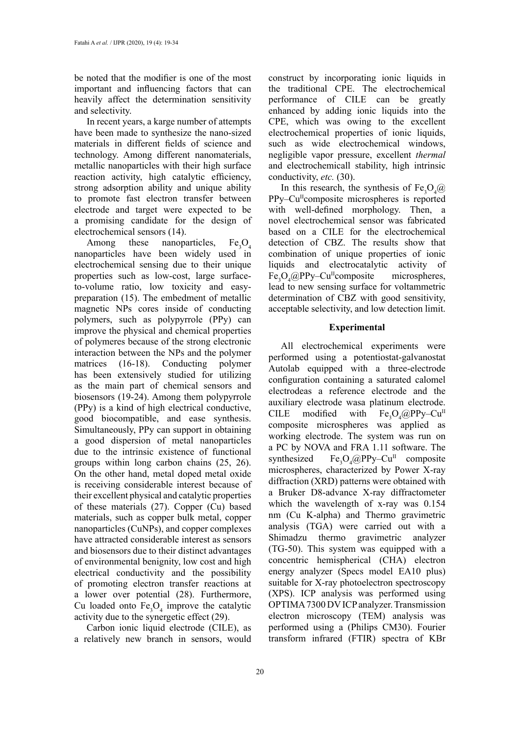be noted that the modifier is one of the most important and influencing factors that can heavily affect the determination sensitivity and selectivity.

In recent years, a karge number of attempts have been made to synthesize the nano-sized materials in different fields of science and technology. Among different nanomaterials, metallic nanoparticles with their high surface reaction activity, high catalytic efficiency, strong adsorption ability and unique ability to promote fast electron transfer between electrode and target were expected to be a promising candidate for the design of electrochemical sensors (14).

Among these nanoparticles,  $Fe<sub>2</sub>O<sub>4</sub>$ nanoparticles have been widely used in electrochemical sensing due to their unique properties such as low-cost, large surfaceto-volume ratio, low toxicity and easypreparation (15). The embedment of metallic magnetic NPs cores inside of conducting polymers, such as polypyrrole (PPy) can improve the physical and chemical properties of polymeres because of the strong electronic interaction between the NPs and the polymer matrices (16-18). Conducting polymer has been extensively studied for utilizing as the main part of chemical sensors and biosensors (19-24). Among them polypyrrole (PPy) is a kind of high electrical conductive, good biocompatible, and ease synthesis. Simultaneously, PPy can support in obtaining a good dispersion of metal nanoparticles due to the intrinsic existence of functional groups within long carbon chains (25, 26). On the other hand, metal doped metal oxide is receiving considerable interest because of their excellent physical and catalytic properties of these materials (27). Copper (Cu) based materials, such as copper bulk metal, copper nanoparticles (CuNPs), and copper complexes have attracted considerable interest as sensors and biosensors due to their distinct advantages of environmental benignity, low cost and high electrical conductivity and the possibility of promoting electron transfer reactions at a lower over potential (28). Furthermore, Cu loaded onto  $Fe<sub>3</sub>O<sub>4</sub>$  improve the catalytic activity due to the synergetic effect (29).

Carbon ionic liquid electrode (CILE), as a relatively new branch in sensors, would

construct by incorporating ionic liquids in the traditional CPE. The electrochemical performance of CILE can be greatly enhanced by adding ionic liquids into the CPE, which was owing to the excellent electrochemical properties of ionic liquids, such as wide electrochemical windows, negligible vapor pressure, excellent *thermal* and electrochemicall stability, high intrinsic conductivity, *etc.* (30).

In this research, the synthesis of  $Fe<sub>3</sub>O<sub>4</sub>(Q)$ PPy–Cu<sup>II</sup>composite microspheres is reported with well-defined morphology. Then, a novel electrochemical sensor was fabricated based on a CILE for the electrochemical detection of CBZ. The results show that combination of unique properties of ionic liquids and electrocatalytic activity of Fe<sub>3</sub>O<sub>4</sub>@PPy–Cu<sup>n</sup>composite microspheres, lead to new sensing surface for voltammetric determination of CBZ with good sensitivity, acceptable selectivity, and low detection limit.

### **Experimental**

All electrochemical experiments were performed using a potentiostat-galvanostat Autolab equipped with a three-electrode configuration containing a saturated calomel electrodeas a reference electrode and the auxiliary electrode wasa platinum electrode. CILE modified with  $O_4$ @PPy–Cu<sup>II</sup> composite microspheres was applied as working electrode. The system was run on a PC by NOVA and FRA 1.11 software. The synthesized  $O_4@PPy-Cu^{\text{II}}$  composite microspheres, characterized by Power X-ray diffraction (XRD) patterns were obtained with a Bruker D8-advance X-ray diffractometer which the wavelength of x-ray was 0.154 nm (Cu K-alpha) and Thermo gravimetric analysis (TGA) were carried out with a Shimadzu thermo gravimetric analyzer (TG-50). This system was equipped with a concentric hemispherical (CHA) electron energy analyzer (Specs model EA10 plus) suitable for X-ray photoelectron spectroscopy (XPS). ICP analysis was performed using OPTIMA 7300 DV ICP analyzer. Transmission electron microscopy (TEM) analysis was performed using a (Philips CM30). Fourier transform infrared (FTIR) spectra of KBr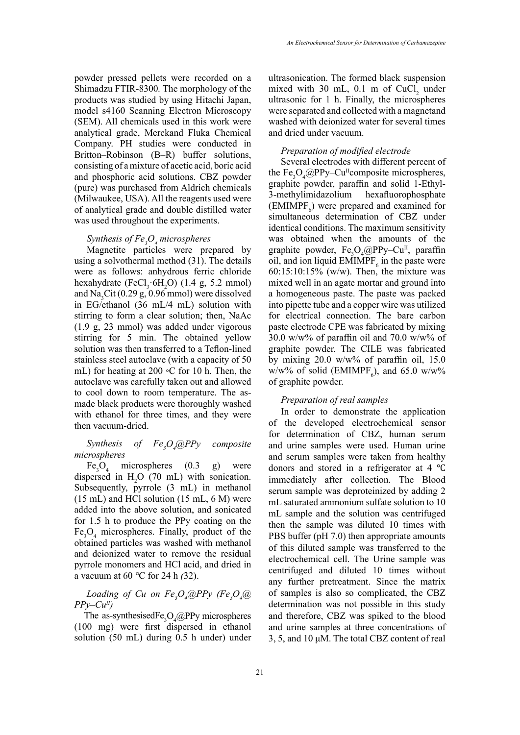powder pressed pellets were recorded on a Shimadzu FTIR*-*8300*.* The morphology of the products was studied by using Hitachi Japan, model s4160 Scanning Electron Microscopy (SEM). All chemicals used in this work were analytical grade, Merckand Fluka Chemical Company. PH studies were conducted in Britton–Robinson (B–R) buffer solutions, consisting of a mixture of acetic acid, boric acid and phosphoric acid solutions. CBZ powder (pure) was purchased from Aldrich chemicals (Milwaukee, USA). All the reagents used were of analytical grade and double distilled water was used throughout the experiments.

## *Synthesis of Fe3 O4 microspheres*

Magnetite particles were prepared by using a solvothermal method (31). The details were as follows: anhydrous ferric chloride hexahydrate  $(FeCl<sub>3</sub> 6H<sub>2</sub>O)$  (1.4 g, 5.2 mmol) and  $\text{Na}_3\text{Cit}$  (0.29 g, 0.96 mmol) were dissolved in EG/ethanol (36 mL/4 mL) solution with stirring to form a clear solution; then, NaAc (1.9 g, 23 mmol) was added under vigorous stirring for 5 min. The obtained yellow solution was then transferred to a Teflon-lined stainless steel autoclave (with a capacity of 50 mL) for heating at 200 ◦C for 10 h. Then, the autoclave was carefully taken out and allowed to cool down to room temperature. The asmade black products were thoroughly washed with ethanol for three times, and they were then vacuum-dried.

#### *Synthesis of*  $Fe, O$ <sub>*<i>(*a)PP<sub>y</sub></sub>  $composite$ *microspheres*

 $Fe<sub>3</sub>O<sub>4</sub>$  microspheres (0.3 g) were dispersed in  $H_2O$  (70 mL) with sonication. Subsequently, pyrrole (3 mL) in methanol  $(15 \text{ mL})$  and HCl solution  $(15 \text{ mL}, 6 \text{ M})$  were added into the above solution, and sonicated for 1.5 h to produce the PPy coating on the  $Fe<sub>3</sub>O<sub>4</sub>$  microspheres. Finally, product of the obtained particles was washed with methanol and deionized water to remove the residual pyrrole monomers and HCl acid, and dried in a vacuum at 60 *°*C for 24 h *(*32).

### $L$ oading of Cu on  $Fe_{\textit{\tiny{3}}}O_{\textit{\tiny{4}}}$ @PPy (Fe $_{\textit{\tiny{3}}}O_{\textit{\tiny{4}}}$ @  $PPv-Cu''$ )

The as-synthesised  $Fe<sub>3</sub>O<sub>4</sub>(Q)$ PPy microspheres (100 mg) were first dispersed in ethanol solution (50 mL) during 0.5 h under) under

ultrasonication. The formed black suspension mixed with 30 mL,  $0.1$  m of CuCl<sub>2</sub> under ultrasonic for 1 h. Finally, the microspheres were separated and collected with a magnetand washed with deionized water for several times and dried under vacuum.

### *Preparation of modified electrode*

Several electrodes with different percent of the  $Fe<sub>3</sub>O<sub>4</sub>(QPPy-Cu<sup>II</sup> composite microspheres,$ graphite powder, paraffin and solid 1-Ethyl-3-methylimidazolium hexafluorophosphate  $(\text{EMIMPF}_6)$  were prepared and examined for simultaneous determination of CBZ under identical conditions. The maximum sensitivity was obtained when the amounts of the graphite powder,  $Fe<sub>3</sub>O<sub>4</sub>(QPPy-Cu<sup>II</sup>)$ , paraffin oil, and ion liquid  $EMIMPF_6$  in the paste were 60:15:10:15% (w/w). Then, the mixture was mixed well in an agate mortar and ground into a homogeneous paste. The paste was packed into pipette tube and a copper wire was utilized for electrical connection. The bare carbon paste electrode CPE was fabricated by mixing 30.0 w/w% of paraffin oil and 70.0 w/w% of graphite powder. The CILE was fabricated by mixing  $20.0 \frac{\text{w}}{\text{w}}$  of paraffin oil, 15.0  $w/w\%$  of solid (EMIMPF<sub>6</sub>), and 65.0 w/w% of graphite powder.

### *Preparation of real samples*

In order to demonstrate the application of the developed electrochemical sensor for determination of CBZ, human serum and urine samples were used. Human urine and serum samples were taken from healthy donors and stored in a refrigerator at 4 ℃ immediately after collection. The Blood serum sample was deproteinized by adding 2 mL saturated ammonium sulfate solution to 10 mL sample and the solution was centrifuged then the sample was diluted 10 times with PBS buffer (pH 7.0) then appropriate amounts of this diluted sample was transferred to the electrochemical cell. The Urine sample was centrifuged and diluted 10 times without any further pretreatment. Since the matrix of samples is also so complicated, the CBZ determination was not possible in this study and therefore, CBZ was spiked to the blood and urine samples at three concentrations of 3, 5, and 10 μM. The total CBZ content of real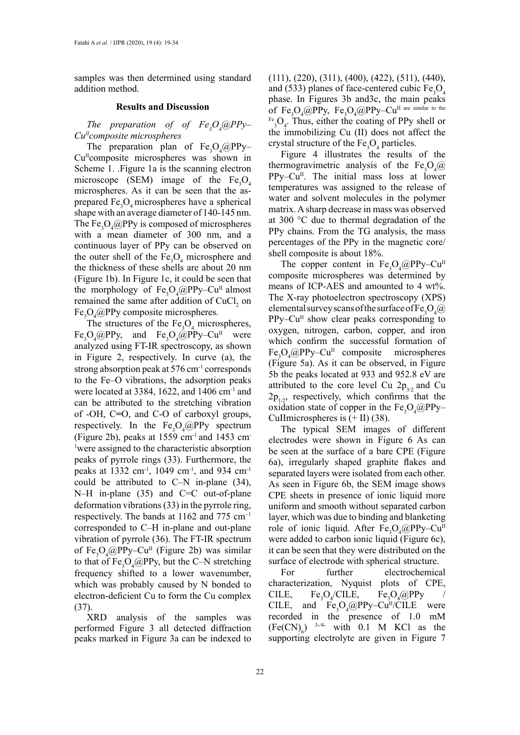samples was then determined using standard addition method.

### **Results and Discussion**

*The preparation of of Fe<sub>3</sub>O<sub>4</sub>*@PPy– *CuIIcomposite microspheres*

The preparation plan of  $Fe<sub>3</sub>O<sub>4</sub>(QPPy-$ Cu<sup>II</sup>composite microspheres was shown in Scheme 1. .Figure 1a is the scanning electron microscope (SEM) image of the  $Fe<sub>3</sub>O<sub>4</sub>$ microspheres. As it can be seen that the asprepared  $Fe<sub>3</sub>O<sub>4</sub>$  microspheres have a spherical shape with an average diameter of 140-145 nm. The  $Fe<sub>3</sub>O<sub>4</sub>(QPPy)$  is composed of microspheres with a mean diameter of 300 nm, and a continuous layer of PPy can be observed on the outer shell of the  $Fe<sub>3</sub>O<sub>4</sub>$  microsphere and the thickness of these shells are about 20 nm (Figure 1b). In Figure 1c, it could be seen that the morphology of  $Fe<sub>3</sub>O<sub>4</sub>(QPPy-Cu<sup>II</sup> almost$ remained the same after addition of  $CuCl<sub>2</sub>$  on Fe3 O4 @PPy composite microspheres*.*

The structures of the  $Fe<sub>3</sub>O<sub>4</sub>$  microspheres,  $Fe<sub>3</sub>O<sub>4</sub>(QPPy, and Fe<sub>3</sub>O<sub>4</sub>(QPPy-Cu<sup>II</sup> were$ analyzed using FT-IR spectroscopy, as shown in Figure 2, respectively. In curve (a), the strong absorption peak at 576 cm-1 corresponds to the Fe–O vibrations, the adsorption peaks were located at 3384, 1622, and 1406  $cm<sup>-1</sup>$  and can be attributed to the stretching vibration of -OH, C**=**O, and C-O of carboxyl groups, respectively. In the  $Fe<sub>3</sub>O<sub>4</sub>(Q)$ PPy spectrum (Figure 2b), peaks at  $1559$  cm<sup>-1</sup> and  $1453$  cm<sup>-1</sup> 1 were assigned to the characteristic absorption peaks of pyrrole rings (33). Furthermore, the peaks at 1332 cm-1, 1049 cm-1, and 934 cm-1 could be attributed to C–N in-plane (34), N–H in-plane (35) and C=C out-of-plane deformation vibrations (33) in the pyrrole ring, respectively. The bands at 1162 and  $775 \text{ cm}^{-1}$ corresponded to C–H in-plane and out-plane vibration of pyrrole (36). The FT-IR spectrum of  $Fe<sub>3</sub>O<sub>4</sub>(QPPy-Cu<sup>II</sup>$  (Figure 2b) was similar to that of  $Fe<sub>3</sub>O<sub>4</sub>(QPPy, but the C-N stretching)$ frequency shifted to a lower wavenumber, which was probably caused by N bonded to electron-deficient Cu to form the Cu complex (37).

XRD analysis of the samples was performed Figure 3 all detected diffraction peaks marked in Figure 3a can be indexed to

(111), (220), (311), (400), (422), (511), (440), and (533) planes of face-centered cubic  $Fe<sub>3</sub>O<sub>4</sub>$ phase. In Figures 3b and3c, the main peaks of  $Fe_{3}O_{4}$ @PPy,  $Fe_{3}O_{4}$ @PPy–Cu<sup>II are similar to the</sup>  $F_{3}^{E_{6}}O_{4}$ . Thus, either the coating of PPy shell or the immobilizing Cu (II) does not affect the crystal structure of the  $Fe<sub>3</sub>O<sub>4</sub>$  particles.

Figure 4 illustrates the results of the thermogravimetric analysis of the Fe<sub>3</sub>O<sub>4</sub>@  $PPy-Cu<sup>II</sup>$ . The initial mass loss at lower temperatures was assigned to the release of water and solvent molecules in the polymer matrix. A sharp decrease in mass was observed at 300 °C due to thermal degradation of the PPy chains. From the TG analysis, the mass percentages of the PPy in the magnetic core/ shell composite is about 18%.

The copper content in  $Fe<sub>3</sub>O<sub>4</sub>(QPPy-Cu<sup>II</sup>)$ composite microspheres was determined by means of ICP-AES and amounted to 4 wt%. The X-ray photoelectron spectroscopy (XPS) elemental survey scans of the surface of Fe<sub>3</sub>O<sub>4</sub>@  $PPy-Cu<sup>II</sup>$  show clear peaks corresponding to oxygen, nitrogen, carbon, copper, and iron which confirm the successful formation of  $Fe<sub>3</sub>O<sub>4</sub>(QPPy-Cu<sup>II</sup>$  composite microspheres (Figure 5a). As it can be observed, in Figure 5b the peaks located at 933 and 952.8 eV are attributed to the core level Cu  $2p_{3/2}$  and Cu  $2p_{1/2}$ , respectively, which confirms that the oxidation state of copper in the  $Fe<sub>3</sub>O<sub>4</sub>(@PPy-$ CuIImicrospheres is  $(+ II)$  (38).

The typical SEM images of different electrodes were shown in Figure 6 As can be seen at the surface of a bare CPE (Figure 6a), irregularly shaped graphite flakes and separated layers were isolated from each other. As seen in Figure 6b, the SEM image shows CPE sheets in presence of ionic liquid more uniform and smooth without separated carbon layer, which was due to binding and blanketing role of ionic liquid. After  $Fe<sub>3</sub>O<sub>4</sub>(@PPy-Cu<sup>II</sup>)$ were added to carbon ionic liquid (Figure 6c), it can be seen that they were distributed on the surface of electrode with spherical structure.

For further electrochemical characterization, Nyquist plots of CPE, CILE,  $O_4$ /CILE, Fe<sub>3</sub>  $O_4$ @PPy / CILE, and  $Fe<sub>3</sub>O<sub>4</sub>(QPPy-Cu<sup>H</sup>/CILE$  were recorded in the presence of 1.0 mM  $(Fe(CN)<sub>6</sub>)$  <sup>3-/4-</sup> with 0.1 M KCl as the supporting electrolyte are given in Figure 7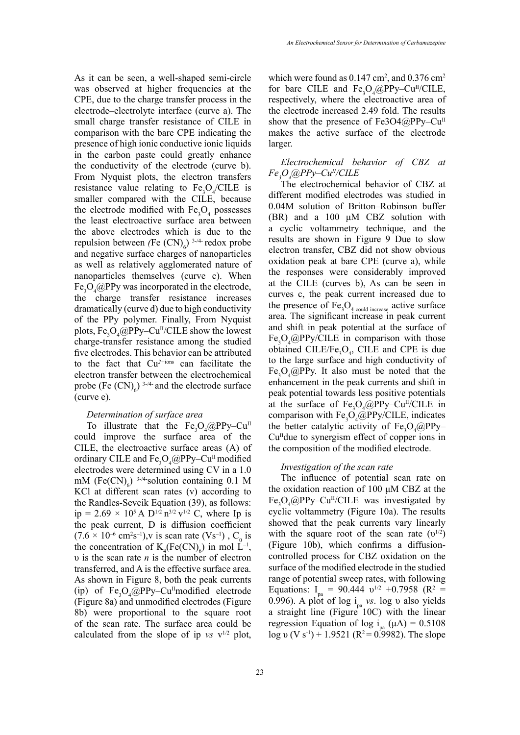As it can be seen, a well-shaped semi-circle was observed at higher frequencies at the CPE, due to the charge transfer process in the electrode–electrolyte interface (curve a). The small charge transfer resistance of CILE in comparison with the bare CPE indicating the presence of high ionic conductive ionic liquids in the carbon paste could greatly enhance the conductivity of the electrode (curve b). From Nyquist plots, the electron transfers resistance value relating to  $Fe<sub>3</sub>O<sub>4</sub>/CILE$  is smaller compared with the CILE, because the electrode modified with  $Fe<sub>3</sub>O<sub>4</sub>$  possesses the least electroactive surface area between the above electrodes which is due to the repulsion between  $(Fe(CN)_{6})$ <sup>3-/4</sup>- redox probe and negative surface charges of nanoparticles as well as relatively agglomerated nature of nanoparticles themselves (curve c). When  $Fe<sub>3</sub>O<sub>4</sub>(QPPy was incorporated in the electrode,$ the charge transfer resistance increases dramatically (curve d) due to high conductivity of the PPy polymer. Finally, From Nyquist plots,  $Fe_{3}O_{4}$ @PPy–Cu<sup>II</sup>/CILE show the lowest charge-transfer resistance among the studied five electrodes. This behavior can be attributed to the fact that Cu*2+*ions can facilitate the electron transfer between the electrochemical probe (Fe  $(CN)_{6}$ ) <sup>3-/4-</sup> and the electrode surface (curve e).

### *Determination of surface area*

To illustrate that the  $Fe<sub>3</sub>O<sub>4</sub>(QPPy-Cu<sup>II</sup>)$ could improve the surface area of the CILE, the electroactive surface areas (A) of ordinary CILE and  $Fe<sub>3</sub>O<sub>4</sub>(QPPy-Cu<sup>II</sup> modified)$ electrodes were determined using CV in a 1.0 mM  $(Fe(CN)<sub>6</sub>)$  <sup>3-/4-</sup>solution containing 0.1 M KCl at different scan rates (v) according to the Randles-Sevcik Equation (39), as follows: ip = 2.69  $\times$  10<sup>5</sup> A D<sup>1/2</sup> n<sup>3/2</sup> v<sup>1/2</sup> C, where Ip is the peak current, D is diffusion coefficient  $(7.6 \times 10^{-6} \text{ cm}^2 \text{s}^{-1})$ , v is scan rate  $(\text{Vs}^{-1})$ ,  $\text{C}_0$  is the concentration of  $K_4(Fe(CN)_6)$  in mol  $L^{-1}$ , υ is the scan rate *n* is the number of electron transferred, and A is the effective surface area. As shown in Figure 8, both the peak currents (ip) of  $Fe<sub>3</sub>O<sub>4</sub>(@PPy-Cu<sup>II</sup>modified electrode)$ (Figure 8a) and unmodified electrodes (Figure 8b) were proportional to the square root of the scan rate. The surface area could be calculated from the slope of ip  $vs$  v<sup>1/2</sup> plot,

which were found as  $0.147 \text{ cm}^2$ , and  $0.376 \text{ cm}^2$ for bare CILE and  $Fe<sub>3</sub>O<sub>4</sub>(QPPy-Cu<sup>II</sup>/CILE,$ respectively, where the electroactive area of the electrode increased 2.49 fold. The results show that the presence of Fe3O4@PPy– $Cu<sup>H</sup>$ makes the active surface of the electrode larger.

### *Electrochemical behavior of CBZ at Fe3 O4 @PPy–CuII/CILE*

The electrochemical behavior of CBZ at different modified electrodes was studied in 0.04M solution of Britton–Robinson buffer (BR) and a 100 μM CBZ solution with a cyclic voltammetry technique, and the results are shown in Figure 9 Due to slow electron transfer, CBZ did not show obvious oxidation peak at bare CPE (curve a), while the responses were considerably improved at the CILE (curves b), As can be seen in curves c, the peak current increased due to the presence of  $Fe<sub>3</sub>O<sub>4</sub>$ <sub>could increase</sub> active surface area. The significant increase in peak current and shift in peak potential at the surface of  $Fe<sub>3</sub>O<sub>4</sub>(QPPy/CILE)$  in comparison with those obtained CILE/Fe<sub>3</sub>O<sub>4</sub>, CILE and CPE is due to the large surface and high conductivity of  $Fe<sub>3</sub>O<sub>4</sub>(QPPy.$  It also must be noted that the enhancement in the peak currents and shift in peak potential towards less positive potentials at the surface of  $Fe<sub>3</sub>O<sub>4</sub>(Q)PPy-Cu<sup>H</sup>/CILE$  in comparison with  $Fe<sub>3</sub>O<sub>4</sub>(QPPy/CILE)$ , indicates the better catalytic activity of  $Fe<sub>3</sub>O<sub>4</sub>(@PPy Cu<sup>H</sup>$  due to synergism effect of copper ions in the composition of the modified electrode.

#### *Investigation of the scan rate*

The influence of potential scan rate on the oxidation reaction of 100 μM CBZ at the  $Fe<sub>3</sub>O<sub>4</sub>(QPPy-Cu<sup>II</sup>/CILE$  was investigated by cyclic voltammetry (Figure 10a). The results showed that the peak currents vary linearly with the square root of the scan rate  $(v^{1/2})$ (Figure 10b), which confirms a diffusioncontrolled process for CBZ oxidation on the surface of the modified electrode in the studied range of potential sweep rates, with following Equations:  $I_{pa} = 90.444 \text{ } v^{1/2} + 0.7958 \text{ (R}^2 =$ 0.996). A plot of log ipa *vs*. log υ also yields a straight line (Figure 10C) with the linear regression Equation of log i<sub>na</sub> ( $\mu$ A) = 0.5108 log v (V s<sup>-1</sup>) + 1.9521 (R<sup>2</sup> = 0.9982). The slope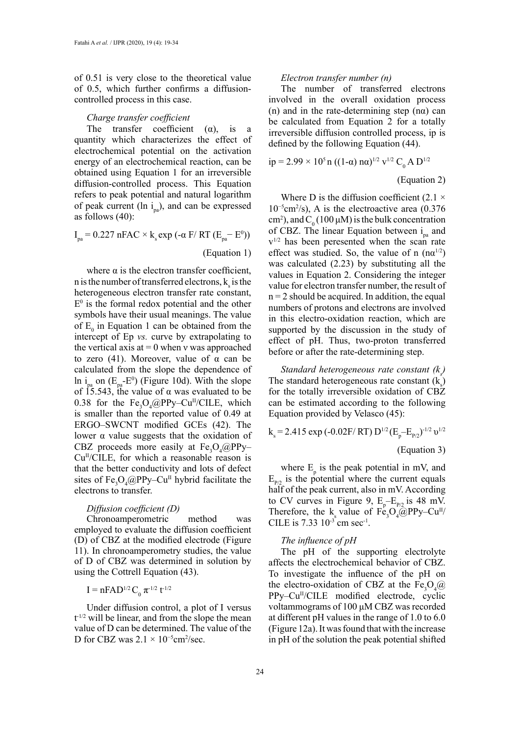of 0.51 is very close to the theoretical value of 0.5, which further confirms a diffusioncontrolled process in this case.

#### *Charge transfer coefficient*

The transfer coefficient  $(\alpha)$ , is a quantity which characterizes the effect of electrochemical potential on the activation energy of an electrochemical reaction, can be obtained using Equation 1 for an irreversible diffusion-controlled process. This Equation refers to peak potential and natural logarithm of peak current (ln  $i_n$ ), and can be expressed as follows (40):

$$
I_{pa} = 0.227 \text{ nFAC} \times k_s \exp(-\alpha \text{ F/ RT} (E_{pa} - E^0))
$$
  
(Equation 1)

where  $\alpha$  is the electron transfer coefficient, in is the number of transferred electrons,  $k<sub>s</sub>$  is the heterogeneous electron transfer rate constant,  $E^0$  is the formal redox potential and the other symbols have their usual meanings. The value of  $E_0$  in Equation 1 can be obtained from the intercept of Ep *vs.* curve by extrapolating to the vertical axis at  $= 0$  when v was approached to zero (41). Moreover, value of  $\alpha$  can be calculated from the slope the dependence of ln i<sub>pa</sub> on  $(E_{pa} - E^0)$  (Figure 10d). With the slope of 15.543, the value of  $\alpha$  was evaluated to be 0.38 for the  $Fe<sub>3</sub>O<sub>4</sub>(QPPy-Cu<sup>II</sup>/CILE)$ , which is smaller than the reported value of 0.49 at ERGO–SWCNT modified GCEs (42). The lower  $α$  value suggests that the oxidation of CBZ proceeds more easily at  $Fe<sub>3</sub>O<sub>4</sub>(@PPy Cu<sup>H</sup>/CILE$ , for which a reasonable reason is that the better conductivity and lots of defect sites of  $Fe<sub>3</sub>O<sub>4</sub>(QPPy-Cu<sup>II</sup>$  hybrid facilitate the electrons to transfer.

### *Diffusion coefficient (D)*

Chronoamperometric method was employed to evaluate the diffusion coefficient (D) of CBZ at the modified electrode (Figure 11). In chronoamperometry studies, the value of D of CBZ was determined in solution by using the Cottrell Equation (43).

$$
I = nFAD^{1/2}C_0 \pi^{-1/2} t^{-1/2}
$$

Under diffusion control, a plot of I versus  $t^{-1/2}$  will be linear, and from the slope the mean value of D can be determined. The value of the D for CBZ was  $2.1 \times 10^{-5}$ cm<sup>2</sup>/sec.

### *Electron transfer number (n)*

The number of transferred electrons involved in the overall oxidation process (n) and in the rate-determining step  $(n\alpha)$  can be calculated from Equation 2 for a totally irreversible diffusion controlled process, ip is defined by the following Equation (44).

$$
ip = 2.99 \times 105 n ((1-α) nα)1/2 v1/2 C0 A D1/2
$$

(Equation 2)

Where D is the diffusion coefficient  $(2.1 \times$ 10−5cm2 /s), A is the electroactive area (0.376 cm<sup>2</sup>), and  $C_0$  (100  $\mu$ M) is the bulk concentration of CBZ. The linear Equation between  $i_{na}$  and  $v^{1/2}$  has been peresented when the scan rate effect was studied. So, the value of n  $(n\alpha^{1/2})$ was calculated (2.23) by substituting all the values in Equation 2. Considering the integer value for electron transfer number, the result of  $n = 2$  should be acquired. In addition, the equal numbers of protons and electrons are involved in this electro-oxidation reaction, which are supported by the discussion in the study of effect of pH. Thus, two-proton transferred before or after the rate-determining step.

*Standard heterogeneous rate constant (k<sub>s</sub>)* The standard heterogeneous rate constant  $(k<sub>s</sub>)$ for the totally irreversible oxidation of CBZ can be estimated according to the following Equation provided by Velasco (45):

$$
k_s = 2.415 \exp(-0.02F/RT) D^{1/2} (E_p - E_{p/2})^{-1/2} \nu^{1/2}
$$
  
(Equation 3)

where  $E_p$  is the peak potential in mV, and  $E_{p2}$  is the potential where the current equals half of the peak current, also in mV. According to CV curves in Figure 9,  $E_p - E_{p/2}$  is 48 mV. Therefore, the  $k_s$  value of Fe<sub>3</sub>O<sub>4</sub>@PPy–Cu<sup>II</sup>/ CILE is 7.33  $10^{-3}$  cm sec<sup>-1</sup>.

### *The influence of pH*

The pH of the supporting electrolyte affects the electrochemical behavior of CBZ. To investigate the influence of the pH on the electro-oxidation of CBZ at the  $Fe<sub>3</sub>O<sub>4</sub>(@)$ PPy–Cu<sup>II</sup>/CILE modified electrode, cyclic voltammograms of 100 μM CBZ was recorded at different pH values in the range of 1.0 to 6.0 (Figure 12a). It was found that with the increase in pH of the solution the peak potential shifted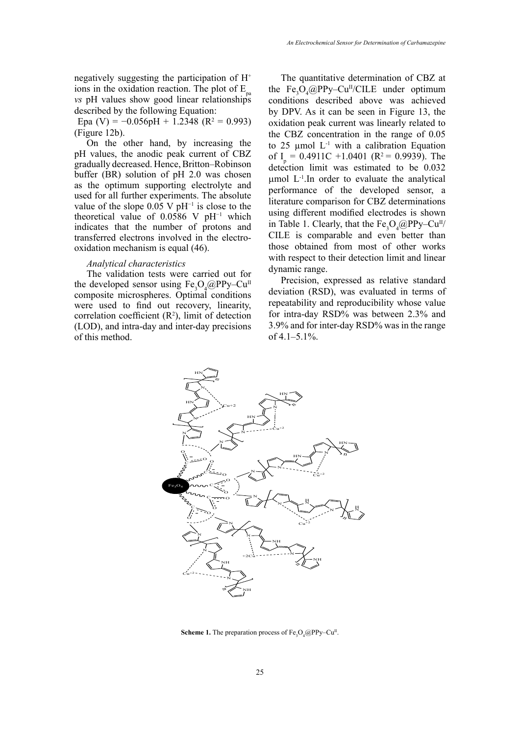negatively suggesting the participation of H+ ions in the oxidation reaction. The plot of  $E_{n}$ *vs* pH values show good linear relationships described by the following Equation:

Epa (V) =  $-0.056pH + 1.2348$  (R<sup>2</sup> = 0.993) (Figure 12b).

On the other hand, by increasing the pH values, the anodic peak current of CBZ gradually decreased. Hence, Britton–Robinson buffer (BR) solution of pH 2.0 was chosen as the optimum supporting electrolyte and used for all further experiments. The absolute value of the slope  $0.05$  V pH<sup>-1</sup> is close to the theoretical value of 0.0586 V pH−1 which indicates that the number of protons and transferred electrons involved in the electrooxidation mechanism is equal (46).

### *Analytical characteristics*

The validation tests were carried out for the developed sensor using  $Fe<sub>3</sub>O<sub>4</sub>(@PPy-Cu<sup>II</sup>)$ composite microspheres. Optimal conditions were used to find out recovery, linearity, correlation coefficient  $(R^2)$ , limit of detection (LOD), and intra-day and inter-day precisions of this method.

The quantitative determination of CBZ at the  $Fe<sub>3</sub>O<sub>4</sub>(Q)PPy-Cu<sup>II</sup>/CILE$  under optimum conditions described above was achieved by DPV. As it can be seen in Figure 13, the oxidation peak current was linearly related to the CBZ concentration in the range of 0.05 to 25  $\mu$ mol L<sup>-1</sup> with a calibration Equation of  $I_p = 0.4911C + 1.0401$  (R<sup>2</sup> = 0.9939). The detection limit was estimated to be 0.032 umol  $L^{-1}$ . In order to evaluate the analytical performance of the developed sensor, a literature comparison for CBZ determinations using different modified electrodes is shown in Table 1. Clearly, that the  $Fe<sub>3</sub>O<sub>4</sub>(QPPy-Cu<sup>H</sup>/)$ CILE is comparable and even better than those obtained from most of other works with respect to their detection limit and linear dynamic range.

Precision, expressed as relative standard deviation (RSD), was evaluated in terms of repeatability and reproducibility whose value for intra-day RSD% was between 2.3% and 3.9% and for inter-day RSD% was in the range of 4.1–5.1%.



**Scheme 1.** The preparation process of  $Fe<sub>3</sub>O<sub>4</sub>(@PPy-Cu<sup>II</sup>$ .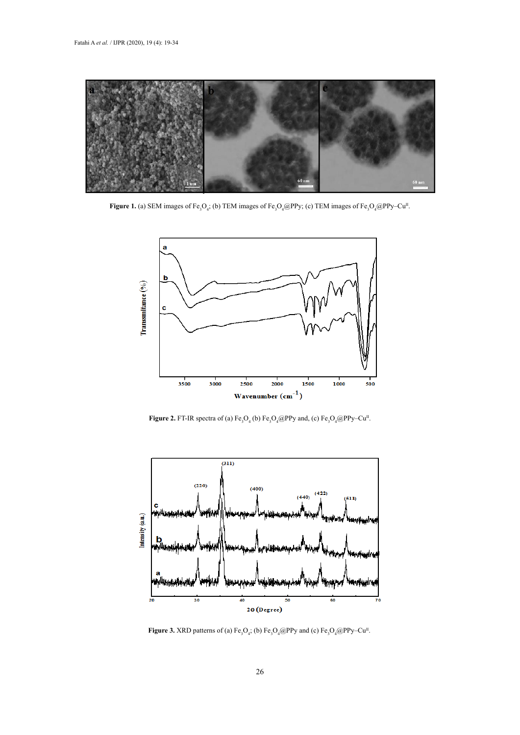

**Figure 1.** (a) SEM images of Fe<sub>3</sub>O<sub>4</sub>; (b) TEM images of Fe<sub>3</sub>O<sub>4</sub>@PPy; (c) TEM images of Fe<sub>3</sub>O<sub>4</sub>@PPy–Cu<sup>II</sup>.



**Figure 2.** FT-IR spectra of (a)  $Fe<sub>3</sub>O<sub>4</sub>$  (b)  $Fe<sub>3</sub>O<sub>4</sub>@PPy$  and, (c)  $Fe<sub>3</sub>O<sub>4</sub>@PPy-Cu<sup>H</sup>$ .



**Figure 3.** XRD patterns of (a)  $Fe_3O_4$ ; (b)  $Fe_3O_4@PPy$  and (c)  $Fe_3O_4@PPy$ –Cu<sup>II</sup>.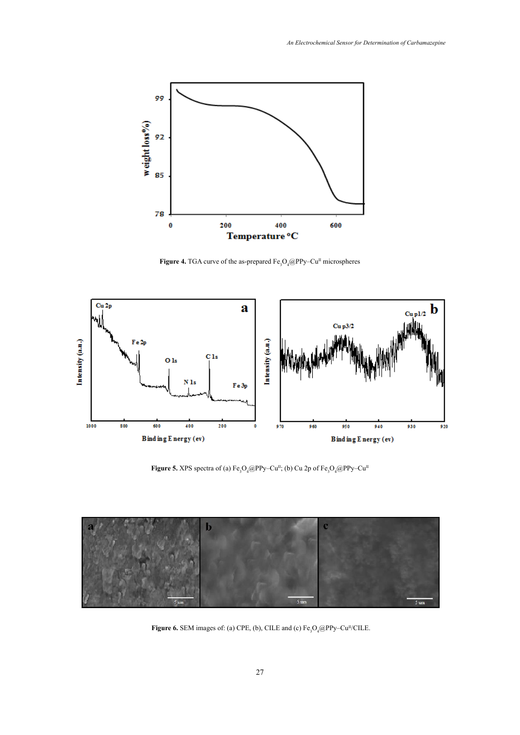

**Figure 4.** TGA curve of the as-prepared  $Fe<sub>3</sub>O<sub>4</sub>(QPPy-Cu<sup>II</sup> microspheres$ 



**Figure 5.** XPS spectra of (a)  $Fe<sub>3</sub>O<sub>4</sub>(@PPy-Cu<sup>II</sup>;$  (b) Cu 2p of  $Fe<sub>3</sub>O<sub>4</sub>(@PPy-Cu<sup>II</sup>)$ 



**Figure 6.** SEM images of: (a) CPE, (b), CILE and (c) Fe3O4@PPy–CuII/CILE. **Figure 6.** SEM images of: (a) CPE, (b), CILE and (c)  $Fe<sub>3</sub>O<sub>4</sub>(Q)PPy-Cu<sup>II</sup>/CILE$ .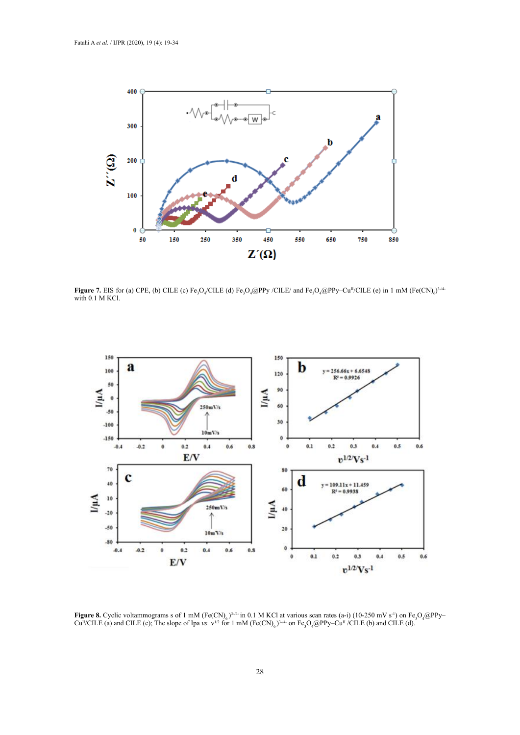

Figure 7. EIS for (a) CPE, (b) CILE (c) Fe<sub>3</sub>O<sub>4</sub>/CILE (d) Fe<sub>3</sub>O<sub>4</sub>@PPy /CILE/ and Fe<sub>3</sub>O<sub>4</sub>@PPy-Cu<sup>n</sup>/CILE (e) in 1 mM (Fe(CN)<sub>6</sub>)<sup>3-/4</sup> with 0.1 M KCl.



**Figure 8.** Cyclic voltammograms s of 1 mM (Fe(CN)<sub>6</sub>)<sup>3,4</sup> in 0.1 M KCl at various scan rates (a-i) (10-250 mV s<sup>-1</sup>) on Fe<sub>3</sub>O<sub>4</sub>@PPy-<br>Cu<sup>ll/CII</sup> F (a) and CII F (c): The slope of Ina vs. y<sup>1/2</sup> for 1 mM (Fe(CN) )<sup>3,44</sup>  $Cu^{II}/CILE$  (a) and CILE (c); The slope of Ipa *vs.*  $v^{1/2}$  for 1 mM (Fe(CN)<sub>6</sub>)<sup>3,4</sup> on Fe<sub>3</sub>O<sub>4</sub>@PPy–Cu<sup>II</sup> /CILE (b) and CILE (d).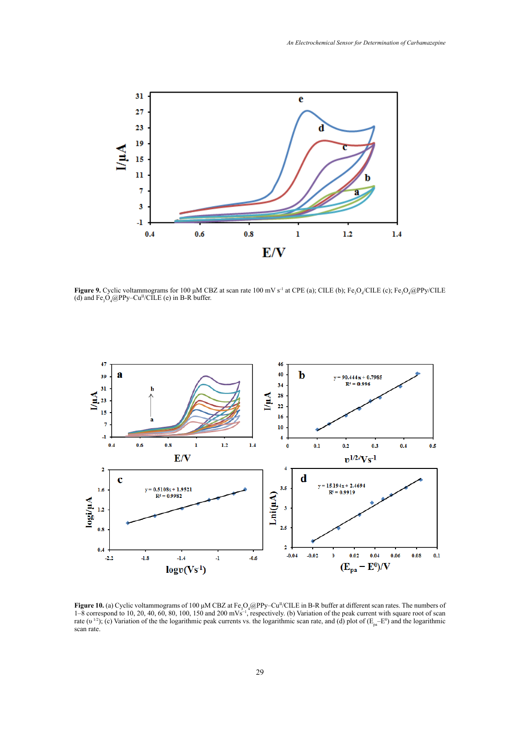

**Figure 9.** Cyclic voltammograms for 100 µM CBZ at scan rate 100 mV s<sup>-1</sup> at CPE (a); CILE (b); Fe<sub>3</sub>O<sub>4</sub>/CILE (c); Fe<sub>3</sub>O<sub>4</sub>@PPy/CILE (d) and  $Fe<sub>3</sub>O<sub>4</sub>(Q)PPy-Cu<sup>H</sup>/CILE$  (e) in B-R buffer.



**Figure 10.** (a) Cyclic voltammograms of 100 μM CBZ at Fe3O4@PPy–CuII/CILE in B-R buffer at different scan rates. The numbers of 1–8  $-8$  correspond to 10, 20, 40, 60, 80, 100, 150 and 200 mVs<sup>-1</sup>, respectively. (b) Variation of the peak current with square root of scan  $\alpha$  scan rate, and (d) plot of  $\alpha$  is  $\alpha$  and  $\alpha$ **Figure 10.** (a) Cyclic voltammograms of 100  $\mu$ M CBZ at Fe<sub>3</sub>O<sub>4</sub>@PPy–Cu<sup>II</sup>/CILE in B-R buffer at different scan rates. The numbers of 1–8 correspond to 10, 20, 40, 60, 80, 100, 150 and 200 mVs−1, respectively. (b) Variation of the peak current with square root of scan rate (v<sup>1/2</sup>); (c) Variation of the the logarithmic peak currents vs. the logarithmic scan rate, and (d) plot of ( $E_{pa}$ =E<sup>0</sup>) and the logarithmic scan rate.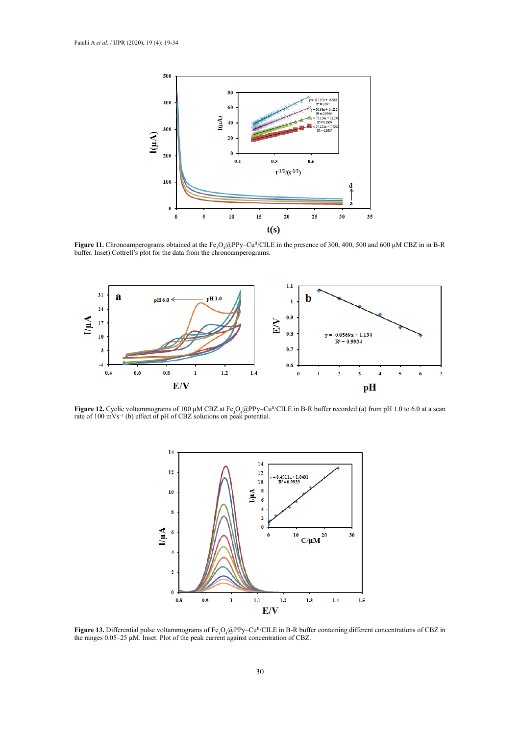

**Figure 11.** Chronoamperograms obtained at the Fe<sub>3</sub>O<sub>4</sub>@PP<sub>y</sub>–Cu<sub>I</sub> CELE in the presence of 300, 400, 500 buffer. Inset) Cottrell's plot for the data from the chronoamperograms. **Figure 11.** Chronoamperograms obtained at the Fe<sub>3</sub>O<sub>4</sub>@PPy–Cu<sup>II</sup>/CILE in the presence of 300, 400, 500 and 600 µM CBZ in in B-R



/CILE in B-R buffer recorded (a) from pH 1.0 to 6.0 at a scan rate of 100 II **Figure 12.** Cyclic voltammograms of 100 μM CBZ at Fe3O4@PPy–Cu **Figure 12.** Cyclic voltammograms of 100  $\mu$ M CBZ at Fe<sub>3</sub>O<sub>4</sub>@PPy–Cu<sup>n</sup>/CILE in B-R buffer recorded (a) from pH 1.0 to 6.0 at a scan rate of 100 mVs<sup>-1</sup> (b) effect of pH of CBZ solutions on peak potential.



 $\mathbf{F}$  pulse voltammograms of Fe $\Omega$  @PPy–Cu<sup>II</sup>/CILE in B-R buffer containing different concentrations of CBZ in the range of  $\Omega$ **Figure 13.** Differential pulse voltammograms of Fe<sub>3</sub>O<sub>4</sub>@PPy–Cu<sup>n</sup>/CILE in B-R buffer containing different concentrations of CBZ in the ranges 0.05–25  $\mu$ M. Inset: Plot of the peak current against concentration of CBZ. the ranges 0.05–25 μM. Inset: Plot of the peak current against concentration of CBZ.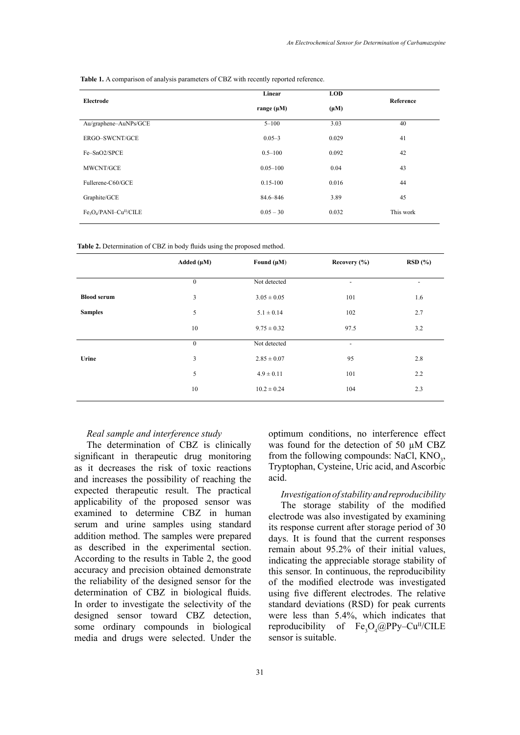**Table 1.** A comparison of analysis parameters of CBZ with recently reported reference.

| Electrode                                                   | Linear          | <b>LOD</b> |           |
|-------------------------------------------------------------|-----------------|------------|-----------|
|                                                             | range $(\mu M)$ | $(\mu M)$  | Reference |
| Au/graphene-AuNPs/GCE                                       | $5 - 100$       | 3.03       | 40        |
| ERGO-SWCNT/GCE                                              | $0.05 - 3$      | 0.029      | 41        |
| Fe-SnO2/SPCE                                                | $0.5 - 100$     | 0.092      | 42        |
| MWCNT/GCE                                                   | $0.05 - 100$    | 0.04       | 43        |
| Fullerene-C60/GCE                                           | $0.15 - 100$    | 0.016      | 44        |
| Graphite/GCE                                                | 84.6-846        | 3.89       | 45        |
| Fe <sub>3</sub> O <sub>4</sub> /PANI-Cu <sup>II</sup> /CILE | $0.05 - 30$     | 0.032      | This work |
|                                                             |                 |            |           |

Table 2. Determination of CBZ in body fluids using the proposed method.

|                    | Added $(\mu M)$ | Found $(\mu M)$ | Recovery (%)             | RSD(%) |
|--------------------|-----------------|-----------------|--------------------------|--------|
|                    | $\mathbf{0}$    | Not detected    |                          |        |
| <b>Blood serum</b> | 3               | $3.05 \pm 0.05$ | 101                      | 1.6    |
| <b>Samples</b>     | 5               | $5.1 \pm 0.14$  | 102                      | 2.7    |
|                    | 10              | $9.75 \pm 0.32$ | 97.5                     | 3.2    |
|                    | $\mathbf{0}$    | Not detected    | $\overline{\phantom{a}}$ |        |
| Urine              | 3               | $2.85 \pm 0.07$ | 95                       | 2.8    |
|                    | 5               | $4.9 \pm 0.11$  | 101                      | 2.2    |
|                    | 10              | $10.2 \pm 0.24$ | 104                      | 2.3    |

### *Real sample and interference study*

The determination of CBZ is clinically significant in therapeutic drug monitoring as it decreases the risk of toxic reactions and increases the possibility of reaching the expected therapeutic result. The practical applicability of the proposed sensor was examined to determine CBZ in human serum and urine samples using standard addition method. The samples were prepared as described in the experimental section. According to the results in Table 2, the good accuracy and precision obtained demonstrate the reliability of the designed sensor for the determination of CBZ in biological fluids. In order to investigate the selectivity of the designed sensor toward CBZ detection, some ordinary compounds in biological media and drugs were selected. Under the

optimum conditions, no interference effect was found for the detection of 50 uM CBZ from the following compounds: NaCl,  $KNO_3$ , Tryptophan, Cysteine, Uric acid, and Ascorbic acid.

*Investigation of stability and reproducibility*  The storage stability of the modified electrode was also investigated by examining its response current after storage period of 30 days. It is found that the current responses remain about 95.2% of their initial values, indicating the appreciable storage stability of this sensor. In continuous, the reproducibility of the modified electrode was investigated using five different electrodes. The relative standard deviations (RSD) for peak currents were less than 5.4%, which indicates that reproducibility of  $Fe<sub>3</sub>O<sub>4</sub>(@PPy-Cu<sup>II</sup>/CILE)$ sensor is suitable.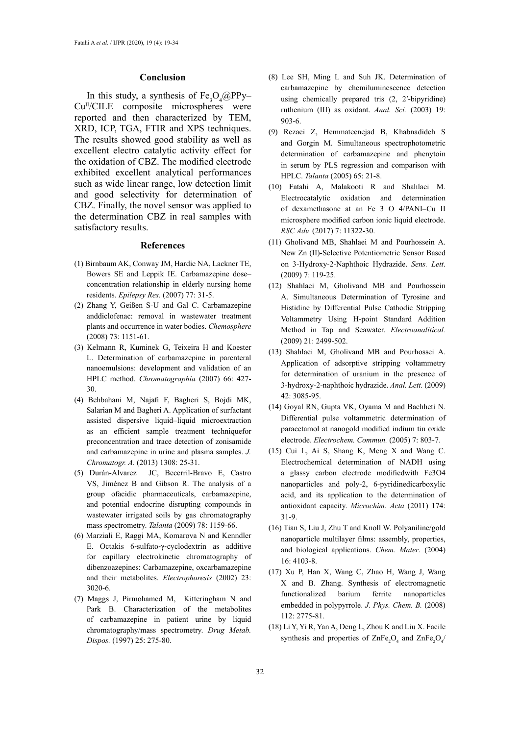#### **Conclusion**

In this study, a synthesis of  $Fe<sub>3</sub>O<sub>4</sub>(QPPy-$ Cu<sup>II</sup>/CILE composite microspheres were reported and then characterized by TEM, XRD, ICP, TGA, FTIR and XPS techniques. The results showed good stability as well as excellent electro catalytic activity effect for the oxidation of CBZ. The modified electrode exhibited excellent analytical performances such as wide linear range, low detection limit and good selectivity for determination of CBZ. Finally, the novel sensor was applied to the determination CBZ in real samples with satisfactory results.

### **References**

- (1) Birnbaum AK, Conway JM, Hardie NA, Lackner TE, Bowers SE and Leppik IE. Carbamazepine dose– concentration relationship in elderly nursing home residents. *Epilepsy Res.* (2007) 77: 31-5.
- (2) Zhang Y, Geißen S-U and Gal C. Carbamazepine anddiclofenac: removal in wastewater treatment plants and occurrence in water bodies. *Chemosphere* (2008) 73: 1151-61.
- (3) Kelmann R, Kuminek G, Teixeira H and Koester L. Determination of carbamazepine in parenteral nanoemulsions: development and validation of an HPLC method. *Chromatographia* (2007) 66: 427- 30.
- (4) Behbahani M, Najafi F, Bagheri S, Bojdi MK, Salarian M and Bagheri A. Application of surfactant assisted dispersive liquid–liquid microextraction as an efficient sample treatment techniquefor preconcentration and trace detection of zonisamide and carbamazepine in urine and plasma samples. *J. Chromatogr. A.* (2013) 1308: 25-31.
- (5) Durán-Alvarez JC, Becerril-Bravo E, Castro VS, Jiménez B and Gibson R. The analysis of a group ofacidic pharmaceuticals, carbamazepine, and potential endocrine disrupting compounds in wastewater irrigated soils by gas chromatography mass spectrometry. *Talanta* (2009) 78: 1159-66.
- (6) Marziali E, Raggi MA, Komarova N and Kenndler E. Octakis 6‐sulfato‐γ‐cyclodextrin as additive for capillary electrokinetic chromatography of dibenzoazepines: Carbamazepine, oxcarbamazepine and their metabolites. *Electrophoresis* (2002) 23: 3020-6.
- (7) Maggs J, Pirmohamed M, Kitteringham N and Park B. Characterization of the metabolites of carbamazepine in patient urine by liquid chromatography/mass spectrometry. *Drug Metab. Dispos.* (1997) 25: 275-80.
- (8) Lee SH, Ming L and Suh JK. Determination of carbamazepine by chemiluminescence detection using chemically prepared tris (2, 2′-bipyridine) ruthenium (III) as oxidant. *Anal. Sci.* (2003) 19: 903-6.
- (9) Rezaei Z, Hemmateenejad B, Khabnadideh S and Gorgin M. Simultaneous spectrophotometric determination of carbamazepine and phenytoin in serum by PLS regression and comparison with HPLC. *Talanta* (2005) 65: 21-8.
- (10) Fatahi A, Malakooti R and Shahlaei M. Electrocatalytic oxidation and determination of dexamethasone at an Fe 3 O 4/PANI–Cu II microsphere modified carbon ionic liquid electrode. *RSC Adv.* (2017) 7: 11322-30.
- (11) Gholivand MB, Shahlaei M and Pourhossein A. New Zn (II)-Selective Potentiometric Sensor Based on 3-Hydroxy-2-Naphthoic Hydrazide. *Sens. Lett*. (2009) 7: 119-25.
- (12) Shahlaei M, Gholivand MB and Pourhossein A. Simultaneous Determination of Tyrosine and Histidine by Differential Pulse Cathodic Stripping Voltammetry Using H‐point Standard Addition Method in Tap and Seawater. *Electroanalitical.* (2009) 21: 2499-502.
- (13) Shahlaei M, Gholivand MB and Pourhossei A. Application of adsorptive stripping voltammetry for determination of uranium in the presence of 3-hydroxy-2-naphthoic hydrazide. *Anal. Lett.* (2009) 42: 3085-95.
- (14) Goyal RN, Gupta VK, Oyama M and Bachheti N. Differential pulse voltammetric determination of paracetamol at nanogold modified indium tin oxide electrode. *Electrochem. Commun.* (2005) 7: 803-7.
- (15) Cui L, Ai S, Shang K, Meng X and Wang C. Electrochemical determination of NADH using a glassy carbon electrode modifiedwith Fe3O4 nanoparticles and poly-2, 6-pyridinedicarboxylic acid, and its application to the determination of antioxidant capacity. *Microchim. Acta* (2011) 174: 31-9.
- (16) Tian S, Liu J, Zhu T and Knoll W. Polyaniline/gold nanoparticle multilayer films: assembly, properties, and biological applications. *Chem. Mater*. (2004) 16: 4103-8.
- (17) Xu P, Han X, Wang C, Zhao H, Wang J, Wang X and B. Zhang. Synthesis of electromagnetic functionalized barium ferrite nanoparticles embedded in polypyrrole. *J. Phys. Chem. B.* (2008) 112: 2775-81.
- (18) Li Y, Yi R, Yan A, Deng L, Zhou K and Liu X. Facile synthesis and properties of  $\text{ZnFe}_2\text{O}_4$  and  $\text{ZnFe}_2\text{O}_4$ /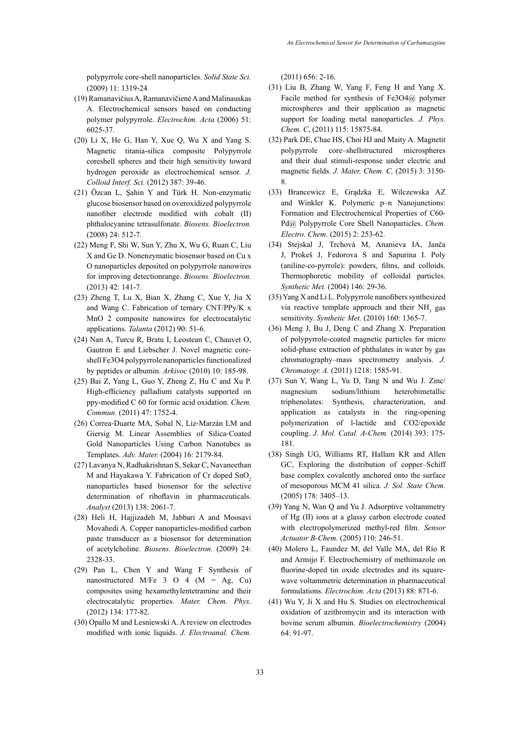polypyrrole core-shell nanoparticles. *Solid State Sci.*  (2009) 11: 1319-24

- (19) Ramanavičius A, Ramanavičienė A and Malinauskas A. Electrochemical sensors based on conducting polymer polypyrrole. *Electrochim. Acta* (2006) 51: 6025-37.
- (20) Li X, He G, Han Y, Xue Q, Wu X and Yang S. Magnetic titania-silica composite Polypyrrole coreshell spheres and their high sensitivity toward hydrogen peroxide as electrochemical sensor. *J. Colloid Interf. Sci.* (2012) 387: 39-46.
- (21) Özcan L, Şahin Y and Türk H. Non-enzymatic glucose biosensor based on overoxidized polypyrrole nanofiber electrode modified with cobalt (II) phthalocyanine tetrasulfonate. *Biosens. Bioelectron.*  (2008) 24: 512-7.
- (22) Meng F, Shi W, Sun Y, Zhu X, Wu G, Ruan C, Liu X and Ge D. Nonenzymatic biosensor based on Cu x O nanoparticles deposited on polypyrrole nanowires for improving detectionrange. *Biosens. Bioelectron.* (2013) 42: 141-7.
- (23) Zheng T, Lu X, Bian X, Zhang C, Xue Y, Jia X and Wang C. Fabrication of ternary CNT/PPy/K x MnO 2 composite nanowires for electrocatalytic applications. *Talanta* (2012) 90: 51-6.
- (24) Nan A, Turcu R, Bratu I, Leostean C, Chauvet O, Gautron E and Liebscher J. Novel magnetic coreshell Fe3O4 polypyrrole nanoparticles functionalized by peptides or albumin. *Arkivoc* (2010) 10: 185-98.
- (25) Bai Z, Yang L, Guo Y, Zheng Z, Hu C and Xu P. High-efficiency palladium catalysts supported on ppy-modified C 60 for formic acid oxidation. *Chem. Commun.* (2011) 47: 1752-4.
- (26) Correa‐Duarte MA, Sobal N, Liz‐Marzán LM and Giersig M. Linear Assemblies of Silica‐Coated Gold Nanoparticles Using Carbon Nanotubes as Templates. *Adv. Mater.* (2004) 16: 2179-84.
- (27) Lavanya N, Radhakrishnan S, Sekar C, Navaneethan M and Hayakawa Y. Fabrication of Cr doped SnO<sub>2</sub> nanoparticles based biosensor for the selective determination of riboflavin in pharmaceuticals. *Analyst* (2013) 138: 2061-7.
- (28) Heli H, Hajjizadeh M, Jabbari A and Moosavi Movahedi A. Copper nanoparticles-modified carbon paste transducer as a biosensor for determination of acetylcholine. *Biosens. Bioelectron.* (2009) 24: 2328-33.
- (29) Pan L, Chen Y and Wang F Synthesis of nanostructured M/Fe  $3$  O  $4$  (M = Ag, Cu) composites using hexamethylentetramine and their electrocatalytic properties. *Mater. Chem. Phys*. (2012) 134: 177-82.
- (30) Opallo M and Lesniewski A. A review on electrodes modified with ionic liquids. *J. Electroanal. Chem.*

(2011) 656: 2-16.

- (31) Liu B, Zhang W, Yang F, Feng H and Yang X. Facile method for synthesis of Fe3O4@ polymer microspheres and their application as magnetic support for loading metal nanoparticles. *J. Phys. Chem. C*, (2011) 115: 15875-84.
- (32) Park DE, Chae HS, Choi HJ and Maity A. Magnetit polypyrrole core–shellstructured microspheres and their dual stimuli-response under electric and magnetic fields. *J. Mater. Chem. C,* (2015) 3: 3150- 8.
- (33) Brancewicz E, Grądzka E, Wilczewska AZ and Winkler K. Polymeric p–n Nanojunctions: Formation and Electrochemical Properties of C60‐ Pd@ Polypyrrole Core Shell Nanoparticles. *Chem. Electro. Chem*. (2015) 2: 253-62.
- (34) Stejskal J, Trchová M, Ananieva IA, Janča J, Prokeš J, Fedorova S and Sapurina I. Poly (aniline-co-pyrrole): powders, films, and colloids. Thermophoretic mobility of colloidal particles. *Synthetic Met.* (2004) 146: 29-36.
- (35) Yang X and Li L. Polypyrrole nanofibers synthesized via reactive template approach and their  $NH<sub>3</sub>$  gas sensitivity. *Synthetic Met.* (2010) 160: 1365-7.
- (36) Meng J, Bu J, Deng C and Zhang X. Preparation of polypyrrole-coated magnetic particles for micro solid-phase extraction of phthalates in water by gas chromatography–mass spectrometry analysis. *J. Chromatogr. A.* (2011) 1218: 1585-91.
- (37) Sun Y, Wang L, Yu D, Tang N and Wu J. Zinc/ magnesium sodium/lithium heterobimetallic triphenolates: Synthesis, characterization, and application as catalysts in the ring-opening polymerization of l-lactide and CO2/epoxide coupling. *J. Mol. Catal. A-Chem.* (2014) 393: 175- 181.
- (38) Singh UG, Williams RT, Hallam KR and Allen GC, Exploring the distribution of copper–Schiff base complex covalently anchored onto the surface of mesoporous MCM 41 silica. *J. Sol. State Chem.* (2005) 178: 3405–13.
- (39) Yang N, Wan Q and Yu J. Adsorptive voltammetry of Hg (II) ions at a glassy carbon electrode coated with electropolymerized methyl-red film. *Sensor Actuator B-Chem.* (2005) 110: 246-51.
- (40) Molero L, Faundez M, del Valle MA, del Río R and Armijo F. Electrochemistry of methimazole on fluorine-doped tin oxide electrodes and its squarewave voltammetric determination in pharmaceutical formulations. *Electrochim. Acta* (2013) 88: 871-6.
- (41) Wu Y, Ji X and Hu S. Studies on electrochemical oxidation of azithromycin and its interaction with bovine serum albumin. *Bioelectrochemistry* (2004) 64: 91-97.